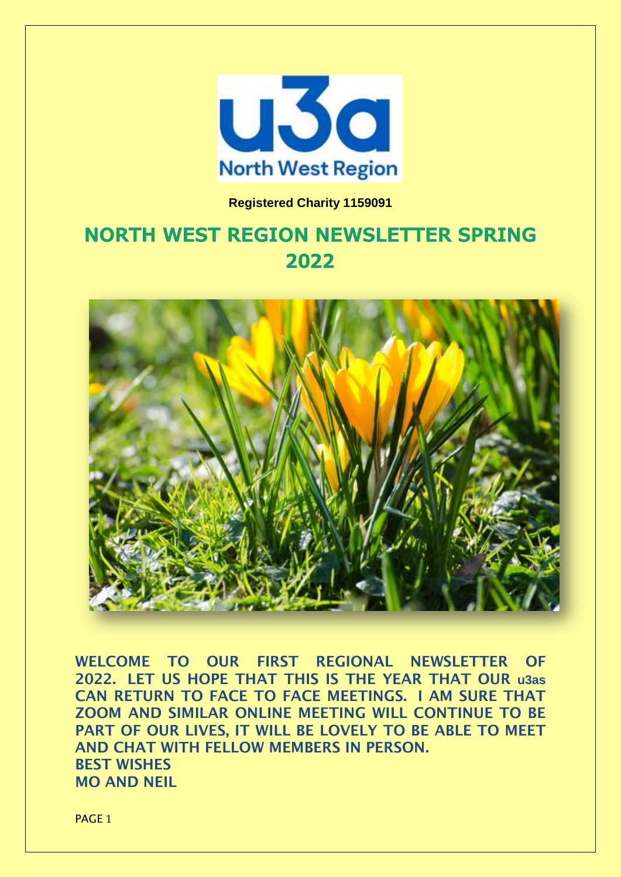

## **Registered Charity 1159091**

## **NORTH WEST REGION NEWSLETTER SPRING** 2022



**WELCOME TO OUR FIRST REGIONAL NEWSLETTER OF 2022. LET US HOPE THAT THIS IS THE YEAR THAT OUR u3as CAN RETURN TO FACE TO FACE MEETINGS. I AM SURE THAT ZOOM AND SIMILAR ONLINE MEETING WILL CONTINUE TO BE PART OF OUR LIVES, IT WILL BE LOVELY TO BE ABLE TO MEET AND CHAT WITH FELLOW MEMBERS IN PERSON. BEST WISHES MO AND NEIL**

PAGE<sub>1</sub>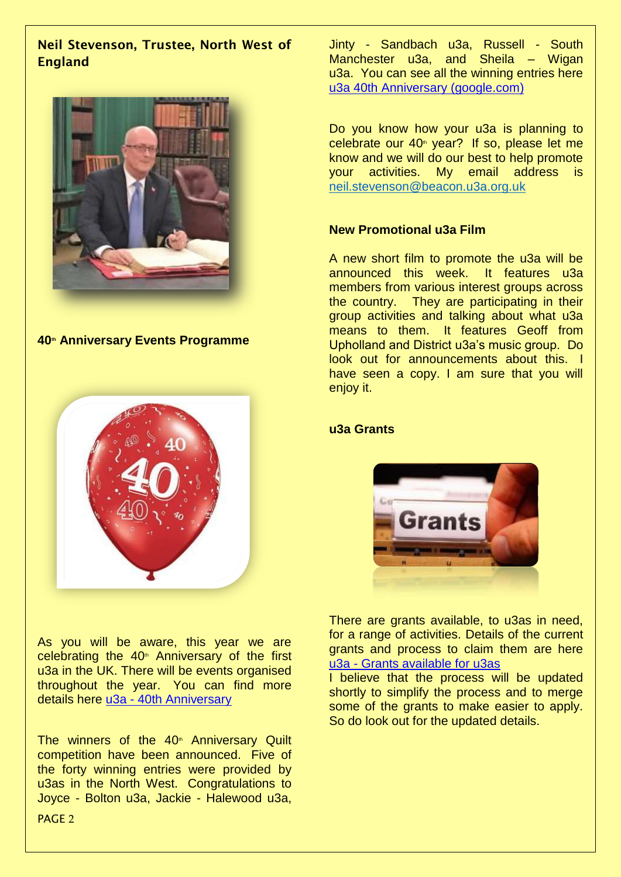## **Neil Stevenson, Trustee, North West of England**



**40 th Anniversary Events Programme**



As you will be aware, this year we are celebrating the  $40<sup>*</sup>$  Anniversary of the first u3a in the UK. There will be events organised throughout the year. You can find more details here u3a - [40th Anniversary](https://www.u3a.org.uk/events/40th-anniversary?highlight=WyI0MHRoIiwiYW5uaXZlcnNhcnkiLCJxdWlsdCIsIidxdWlsdCciLCI0MHRoIGFubml2ZXJzYXJ5IiwiNDB0aCBhbm5pdmVyc2FyeSBxdWlsdCIsImFubml2ZXJzYXJ5IHF1aWx0Il0=)

The winners of the 40<sup>th</sup> Anniversary Quilt competition have been announced. Five of the forty winning entries were provided by u3as in the North West. Congratulations to Joyce - Bolton u3a, Jackie - Halewood u3a,

Jinty - Sandbach u3a, Russell - South Manchester u3a, and Sheila - Wigan u3a. You can see all the winning entries here [u3a 40th Anniversary \(google.com\)](https://sites.google.com/view/u3a40thquilt/home)

Do you know how your u3a is planning to celebrate our  $40<sup>*</sup>$  year? If so, please let me know and we will do our best to help promote your activities. My email address is [neil.stevenson@beacon.u3a.org.uk](mailto:neil.stevenson@beacon.u3a.org.uk)

## **New Promotional u3a Film**

A new short film to promote the u3a will be announced this week. It features u3a members from various interest groups across the country. They are participating in their group activities and talking about what u3a means to them. It features Geoff from Upholland and District u3a's music group. Do look out for announcements about this. I have seen a copy. I am sure that you will enjoy it.

### **u3a Grants**



There are grants available, to u3as in need, for a range of activities. Details of the current grants and process to claim them are here u3a - [Grants available for u3as](https://www.u3a.org.uk/advice/financial-matters/1189-the-third-age-trust-payment-of-grants-policy?highlight=WyJncmFudHMiXQ==)

I believe that the process will be updated shortly to simplify the process and to merge some of the grants to make easier to apply. So do look out for the updated details.

PAGE 2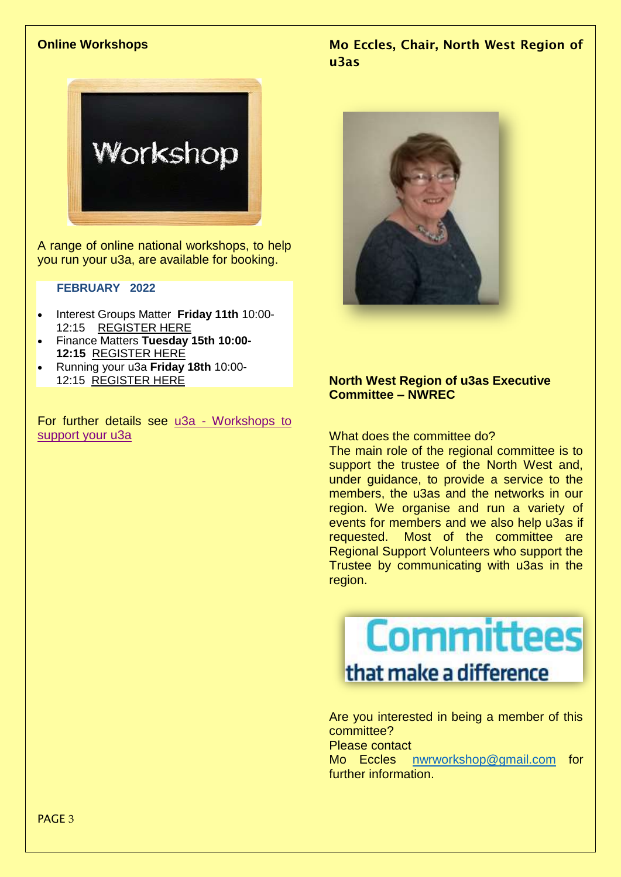#### **Online Workshops**



A range of online national workshops, to help you run your u3a, are available for booking.

#### **FEBRUARY 2022**

- Interest Groups Matter **Friday 11th** 10:00- 12:15 [REGISTER HERE](https://www.eventbrite.co.uk/e/interest-groups-matter-tickets-243084802187)
- Finance Matters **Tuesday 15th 10:00- 12:15** [REGISTER HERE](https://www.eventbrite.co.uk/e/finance-matters-tickets-245929079497)
- Running your u3a **Friday 18th** 10:00- 12:15 [REGISTER HERE](https://www.eventbrite.co.uk/e/running-your-u3a-information-for-trustees-tickets-243081000817)

For further details see u3a - [Workshops to](https://www.u3a.org.uk/events/online-events/upcoming-u3a-workshops?highlight=WyJ3b3Jrc2hvcHMiLCJvbmxpbmUiLCInb25saW5lIiwid29ya3Nob3BzIG9ubGluZSJd)  [support your u3a](https://www.u3a.org.uk/events/online-events/upcoming-u3a-workshops?highlight=WyJ3b3Jrc2hvcHMiLCJvbmxpbmUiLCInb25saW5lIiwid29ya3Nob3BzIG9ubGluZSJd)

**Mo Eccles, Chair, North West Region of u3as**



#### **North West Region of u3as Executive Committee – NWREC**

What does the committee do?

The main role of the regional committee is to support the trustee of the North West and, under guidance, to provide a service to the members, the u3as and the networks in our region. We organise and run a variety of events for members and we also help u3as if requested. Most of the committee are Regional Support Volunteers who support the Trustee by communicating with u3as in the region.

**Committees** that make a difference

Are you interested in being a member of this committee? Please contact

Mo Eccles [nwrworkshop@gmail.com](mailto:nwrworkshop@gmail.com) for further information.